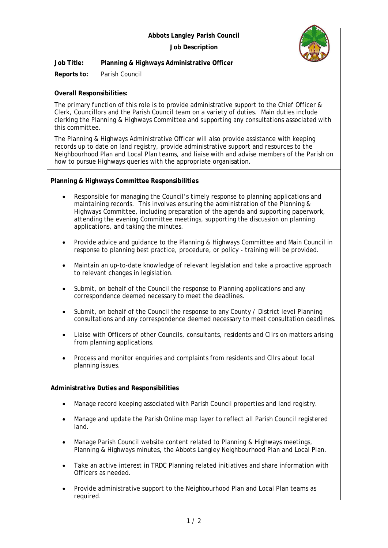## **Abbots Langley Parish Council Job Description**



**Job Title: Planning & Highways Administrative Officer**

**Reports to:** Parish Council

**Overall Responsibilities:**

The primary function of this role is to provide administrative support to the Chief Officer & Clerk, Councillors and the Parish Council team on a variety of duties. Main duties include clerking the Planning & Highways Committee and supporting any consultations associated with this committee.

The Planning & Highways Administrative Officer will also provide assistance with keeping records up to date on land registry, provide administrative support and resources to the Neighbourhood Plan and Local Plan teams, and liaise with and advise members of the Parish on how to pursue Highways queries with the appropriate organisation.

**Planning & Highways Committee Responsibilities**

- Responsible for managing the Council's timely response to planning applications and maintaining records. This involves ensuring the administration of the Planning & Highways Committee, including preparation of the agenda and supporting paperwork, attending the evening Committee meetings, supporting the discussion on planning applications, and taking the minutes.
- Provide advice and guidance to the Planning & Highways Committee and Main Council in response to planning best practice, procedure, or policy - training will be provided.
- Maintain an up-to-date knowledge of relevant legislation and take a proactive approach to relevant changes in legislation.
- Submit, on behalf of the Council the response to Planning applications and any correspondence deemed necessary to meet the deadlines.
- Submit, on behalf of the Council the response to any County / District level Planning consultations and any correspondence deemed necessary to meet consultation deadlines.
- Liaise with Officers of other Councils, consultants, residents and Cllrs on matters arising from planning applications.
- Process and monitor enquiries and complaints from residents and Cllrs about local planning issues.

**Administrative Duties and Responsibilities**

- Manage record keeping associated with Parish Council properties and land registry.
- Manage and update the Parish Online map layer to reflect all Parish Council registered land.
- Manage Parish Council website content related to Planning & Highways meetings, Planning & Highways minutes, the Abbots Langley Neighbourhood Plan and Local Plan.
- Take an active interest in TRDC Planning related initiatives and share information with Officers as needed.
- Provide administrative support to the Neighbourhood Plan and Local Plan teams as required.